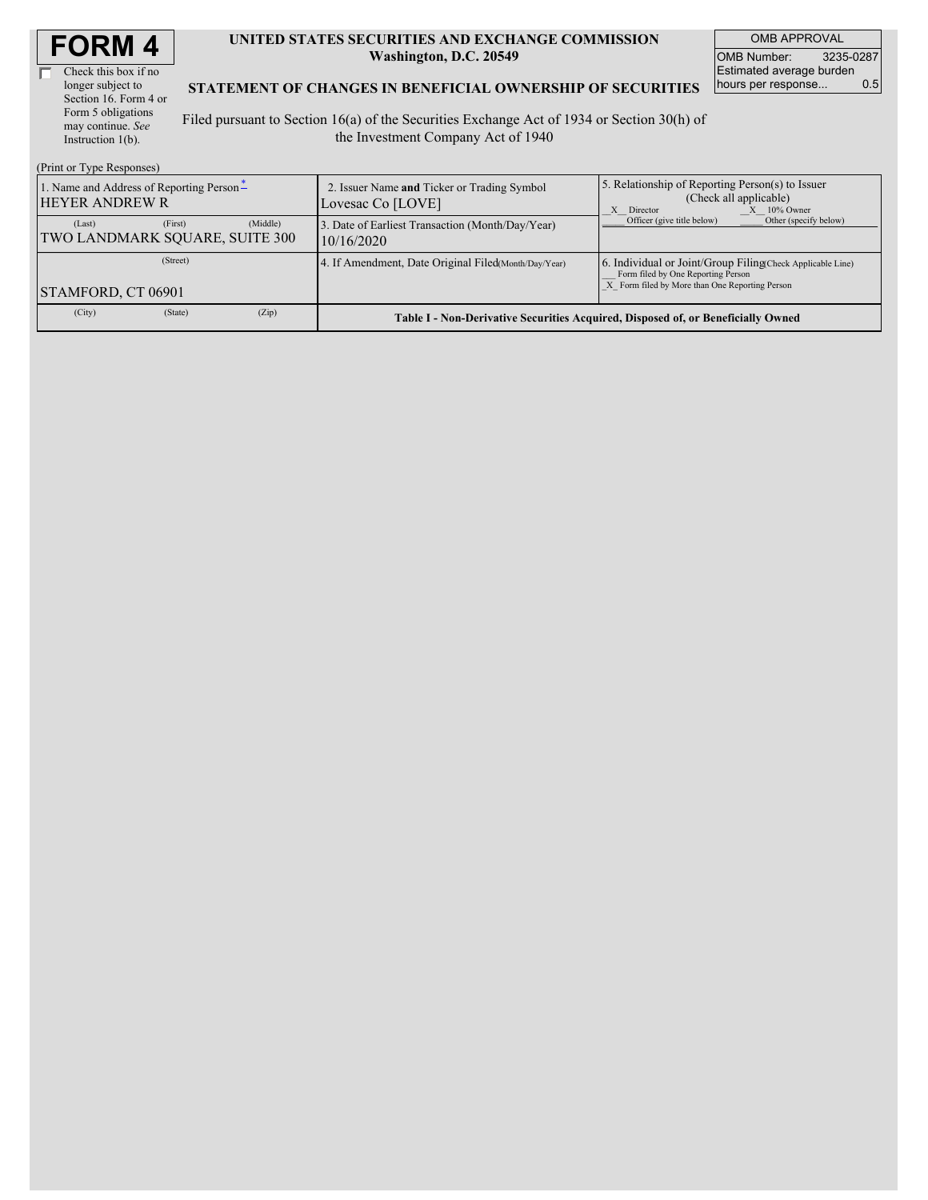| <b>FORM4</b> |
|--------------|
|--------------|

г

Check this box if no longer subject to Section 16. Form 4 or Form 5 obligations may continue. *See* Instruction  $1(b)$ .

#### **UNITED STATES SECURITIES AND EXCHANGE COMMISSION Washington, D.C. 20549**

OMB APPROVAL OMB Number: 3235-0287 Estimated average burden<br>hours per response... 0.5 hours per response...

#### **STATEMENT OF CHANGES IN BENEFICIAL OWNERSHIP OF SECURITIES**

Filed pursuant to Section 16(a) of the Securities Exchange Act of 1934 or Section 30(h) of the Investment Company Act of 1940

| (Print or Type Responses)                                         |          |                                                                  |                                                                                                                                                    |  |  |  |  |
|-------------------------------------------------------------------|----------|------------------------------------------------------------------|----------------------------------------------------------------------------------------------------------------------------------------------------|--|--|--|--|
| 1. Name and Address of Reporting Person-<br><b>HEYER ANDREW R</b> |          | 2. Issuer Name and Ticker or Trading Symbol<br>Lovesac Co [LOVE] | 5. Relationship of Reporting Person(s) to Issuer<br>(Check all applicable)<br>$X = 10\%$ Owner<br>X Director                                       |  |  |  |  |
| (First)<br>(Last)<br>TWO LANDMARK SQUARE, SUITE 300               | (Middle) | 3. Date of Earliest Transaction (Month/Day/Year)<br>10/16/2020   | Other (specify below)<br>Officer (give title below)                                                                                                |  |  |  |  |
| (Street)<br>STAMFORD, CT 06901                                    |          | 4. If Amendment, Date Original Filed (Month/Day/Year)            | 6. Individual or Joint/Group Filing Check Applicable Line)<br>Form filed by One Reporting Person<br>X Form filed by More than One Reporting Person |  |  |  |  |
| (State)<br>(City)                                                 | (Zip)    |                                                                  | Table I - Non-Derivative Securities Acquired, Disposed of, or Beneficially Owned                                                                   |  |  |  |  |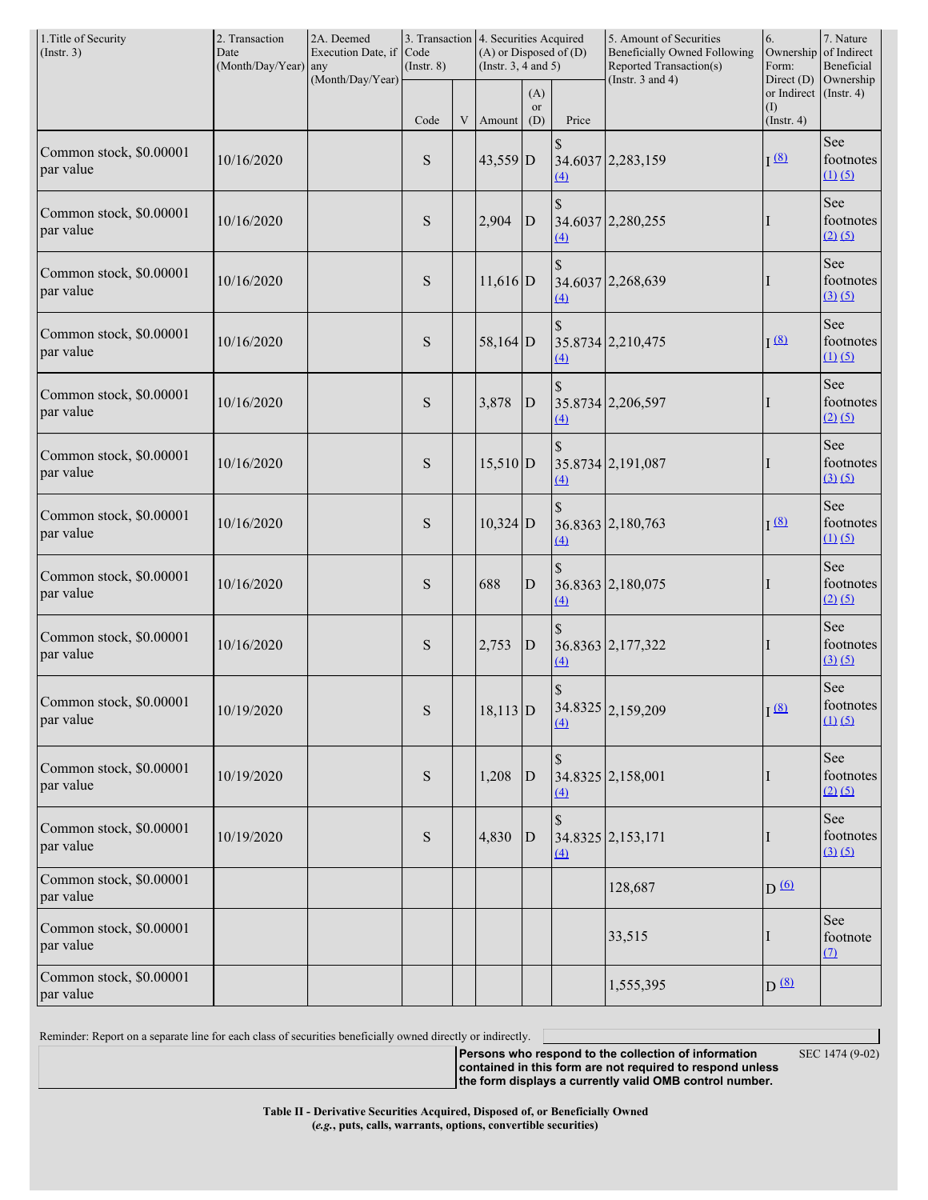| 1. Title of Security<br>(Insert. 3)  | 2. Transaction<br>Date<br>(Month/Day/Year) any                                   | 2A. Deemed<br>Execution Date, if<br>(Month/Day/Year) | 3. Transaction 4. Securities Acquired<br>Code<br>$($ Instr. $8)$ |                                                   |            | $(A)$ or Disposed of $(D)$<br>(Instr. $3, 4$ and $5$ ) |                           | 5. Amount of Securities<br><b>Beneficially Owned Following</b><br>Reported Transaction(s) | 6.<br>Ownership<br>Form:<br>Direct $(D)$ | 7. Nature<br>of Indirect<br>Beneficial<br>Ownership |
|--------------------------------------|----------------------------------------------------------------------------------|------------------------------------------------------|------------------------------------------------------------------|---------------------------------------------------|------------|--------------------------------------------------------|---------------------------|-------------------------------------------------------------------------------------------|------------------------------------------|-----------------------------------------------------|
|                                      | (Instr. $3$ and $4$ )<br>(A)<br><b>or</b><br>Code<br>(D)<br>Price<br>Amount<br>V |                                                      |                                                                  | or Indirect (Instr. 4)<br>(1)<br>$($ Instr. 4 $)$ |            |                                                        |                           |                                                                                           |                                          |                                                     |
| Common stock, \$0.00001<br>par value | 10/16/2020                                                                       |                                                      | S                                                                |                                                   | 43,559 D   |                                                        | $\mathcal{S}$<br>$\Delta$ | 34.6037 2,283,159                                                                         | I(8)                                     | See<br>footnotes<br>$(1)$ $(5)$                     |
| Common stock, \$0.00001<br>par value | 10/16/2020                                                                       |                                                      | ${\bf S}$                                                        |                                                   | 2,904      | $\mathbf{D}$                                           | \$<br>$\underline{4}$     | 34.6037 2,280,255                                                                         | Ι                                        | See<br>footnotes<br>$(2)$ $(5)$                     |
| Common stock, \$0.00001<br>par value | 10/16/2020                                                                       |                                                      | ${\bf S}$                                                        |                                                   | $11,616$ D |                                                        | $\mathbb{S}$<br>(4)       | 34.6037 2,268,639                                                                         | I                                        | See<br>footnotes<br>(3)(5)                          |
| Common stock, \$0.00001<br>par value | 10/16/2020                                                                       |                                                      | ${\bf S}$                                                        |                                                   | 58,164 D   |                                                        | \$<br>$\Delta$            | 35.8734 2,210,475                                                                         | I(8)                                     | See<br>footnotes<br>$(1)$ $(5)$                     |
| Common stock, \$0.00001<br>par value | 10/16/2020                                                                       |                                                      | ${\bf S}$                                                        |                                                   | 3,878      | $\mathbf{D}$                                           | \$<br>(4)                 | 35.8734 2,206,597                                                                         | I                                        | See<br>footnotes<br>$(2)$ $(5)$                     |
| Common stock, \$0.00001<br>par value | 10/16/2020                                                                       |                                                      | S                                                                |                                                   | $15,510$ D |                                                        | \$<br>(4)                 | 35.8734 2,191,087                                                                         | I                                        | See<br>footnotes<br>(3)(5)                          |
| Common stock, \$0.00001<br>par value | 10/16/2020                                                                       |                                                      | ${\bf S}$                                                        |                                                   | $10,324$ D |                                                        | $\mathbb{S}$<br>$\Delta$  | 36.8363 2,180,763                                                                         | I(8)                                     | See<br>footnotes<br>(1) (5)                         |
| Common stock, \$0.00001<br>par value | 10/16/2020                                                                       |                                                      | ${\bf S}$                                                        |                                                   | 688        | $\mathbf D$                                            | $\mathbb{S}$<br>(4)       | 36.8363 2,180,075                                                                         | I                                        | See<br>footnotes<br>$(2)$ $(5)$                     |
| Common stock, \$0.00001<br>par value | 10/16/2020                                                                       |                                                      | S                                                                |                                                   | 2,753      | D                                                      | (4)                       | 36.8363 2,177,322                                                                         | I                                        | See<br>footnotes<br>(3)(5)                          |
| Common stock, \$0.00001<br>par value | 10/19/2020                                                                       |                                                      | $S \mid$                                                         |                                                   | $18,113$ D |                                                        | (4)                       | 34.8325 2,159,209                                                                         | I <sup>(8)</sup>                         | See<br>footnotes<br>(1) (5)                         |
| Common stock, \$0.00001<br>par value | 10/19/2020                                                                       |                                                      | ${\bf S}$                                                        |                                                   | 1,208      | D                                                      | \$<br>$\Delta$            | 34.8325 2,158,001                                                                         | I                                        | See<br>footnotes<br>(2) (5)                         |
| Common stock, \$0.00001<br>par value | 10/19/2020                                                                       |                                                      | ${\bf S}$                                                        |                                                   | 4,830      | D                                                      | $\mathbb{S}$<br>(4)       | 34.8325 2,153,171                                                                         | I                                        | See<br>footnotes<br>(3)(5)                          |
| Common stock, \$0.00001<br>par value |                                                                                  |                                                      |                                                                  |                                                   |            |                                                        |                           | 128,687                                                                                   | $D \nLeftrightarrow$                     |                                                     |
| Common stock, \$0.00001<br>par value |                                                                                  |                                                      |                                                                  |                                                   |            |                                                        |                           | 33,515                                                                                    | I                                        | See<br>footnote<br>(7)                              |
| Common stock, \$0.00001<br>par value |                                                                                  |                                                      |                                                                  |                                                   |            |                                                        |                           | 1,555,395                                                                                 | $D^{(8)}$                                |                                                     |

Reminder: Report on a separate line for each class of securities beneficially owned directly or indirectly.  $\Box$ 

**Persons who respond to the collection of information contained in this form are not required to respond unless the form displays a currently valid OMB control number.**

SEC 1474 (9-02)

**Table II - Derivative Securities Acquired, Disposed of, or Beneficially Owned (***e.g.***, puts, calls, warrants, options, convertible securities)**